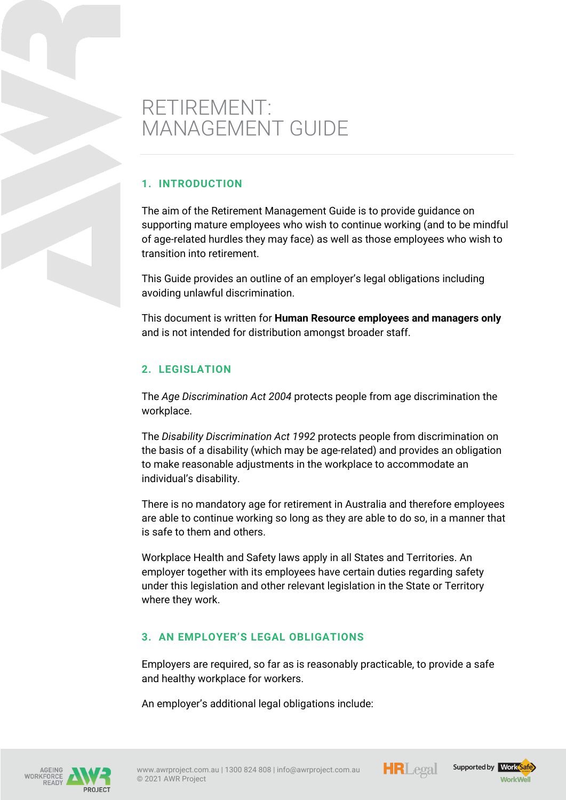# RETIREMENT: MANAGEMENT GUIDE

## **1. INTRODUCTION**

The aim of the Retirement Management Guide is to provide guidance on supporting mature employees who wish to continue working (and to be mindful of age-related hurdles they may face) as well as those employees who wish to transition into retirement.

This Guide provides an outline of an employer's legal obligations including avoiding unlawful discrimination.

This document is written for **Human Resource employees and managers only** and is not intended for distribution amongst broader staff.

# **2. LEGISLATION**

The *Age Discrimination Act 2004* protects people from age discrimination the workplace.

The *Disability Discrimination Act 1992* protects people from discrimination on the basis of a disability (which may be age-related) and provides an obligation to make reasonable adjustments in the workplace to accommodate an individual's disability.

There is no mandatory age for retirement in Australia and therefore employees are able to continue working so long as they are able to do so, in a manner that is safe to them and others.

Workplace Health and Safety laws apply in all States and Territories. An employer together with its employees have certain duties regarding safety under this legislation and other relevant legislation in the State or Territory where they work.

# **3. AN EMPLOYER'S LEGAL OBLIGATIONS**

Employers are required, so far as is reasonably practicable, to provide a safe and healthy workplace for workers.

An employer's additional legal obligations include:





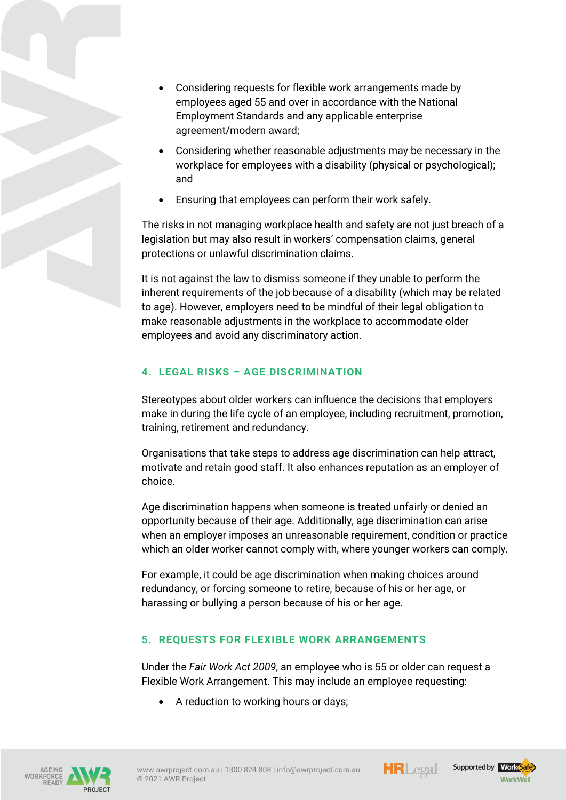- Considering requests for flexible work arrangements made by employees aged 55 and over in accordance with the National Employment Standards and any applicable enterprise agreement/modern award;
- Considering whether reasonable adjustments may be necessary in the workplace for employees with a disability (physical or psychological); and
- Ensuring that employees can perform their work safely.

The risks in not managing workplace health and safety are not just breach of a legislation but may also result in workers' compensation claims, general protections or unlawful discrimination claims.

It is not against the law to dismiss someone if they unable to perform the inherent requirements of the job because of a disability (which may be related to age). However, employers need to be mindful of their legal obligation to make reasonable adjustments in the workplace to accommodate older employees and avoid any discriminatory action.

# **4. LEGAL RISKS – AGE DISCRIMINATION**

Stereotypes about older workers can influence the decisions that employers make in during the life cycle of an employee, including recruitment, promotion, training, retirement and redundancy.

Organisations that take steps to address age discrimination can help attract, motivate and retain good staff. It also enhances reputation as an employer of choice.

Age discrimination happens when someone is treated unfairly or denied an opportunity because of their age. Additionally, age discrimination can arise when an employer imposes an unreasonable requirement, condition or practice which an older worker cannot comply with, where younger workers can comply.

For example, it could be age discrimination when making choices around redundancy, or forcing someone to retire, because of his or her age, or harassing or bullying a person because of his or her age.

# **5. REQUESTS FOR FLEXIBLE WORK ARRANGEMENTS**

Under the *Fair Work Act 2009*, an employee who is 55 or older can request a Flexible Work Arrangement. This may include an employee requesting:

• A reduction to working hours or days;







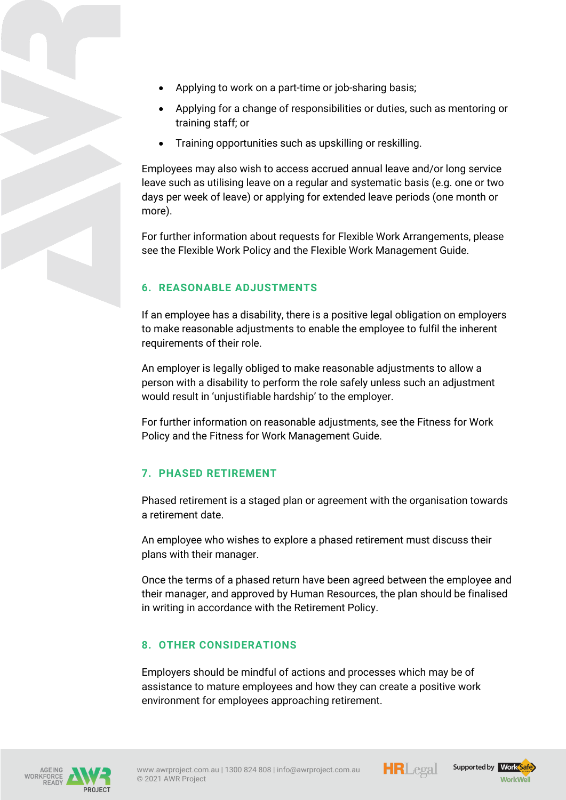- Applying to work on a part-time or job-sharing basis;
- Applying for a change of responsibilities or duties, such as mentoring or training staff; or
- Training opportunities such as upskilling or reskilling.

Employees may also wish to access accrued annual leave and/or long service leave such as utilising leave on a regular and systematic basis (e.g. one or two days per week of leave) or applying for extended leave periods (one month or more).

For further information about requests for Flexible Work Arrangements, please see the Flexible Work Policy and the Flexible Work Management Guide.

## **6. REASONABLE ADJUSTMENTS**

If an employee has a disability, there is a positive legal obligation on employers to make reasonable adjustments to enable the employee to fulfil the inherent requirements of their role.

An employer is legally obliged to make reasonable adjustments to allow a person with a disability to perform the role safely unless such an adjustment would result in 'unjustifiable hardship' to the employer.

For further information on reasonable adjustments, see the Fitness for Work Policy and the Fitness for Work Management Guide.

# **7. PHASED RETIREMENT**

Phased retirement is a staged plan or agreement with the organisation towards a retirement date.

An employee who wishes to explore a phased retirement must discuss their plans with their manager.

Once the terms of a phased return have been agreed between the employee and their manager, and approved by Human Resources, the plan should be finalised in writing in accordance with the Retirement Policy.

#### **8. OTHER CONSIDERATIONS**

Employers should be mindful of actions and processes which may be of assistance to mature employees and how they can create a positive work environment for employees approaching retirement.







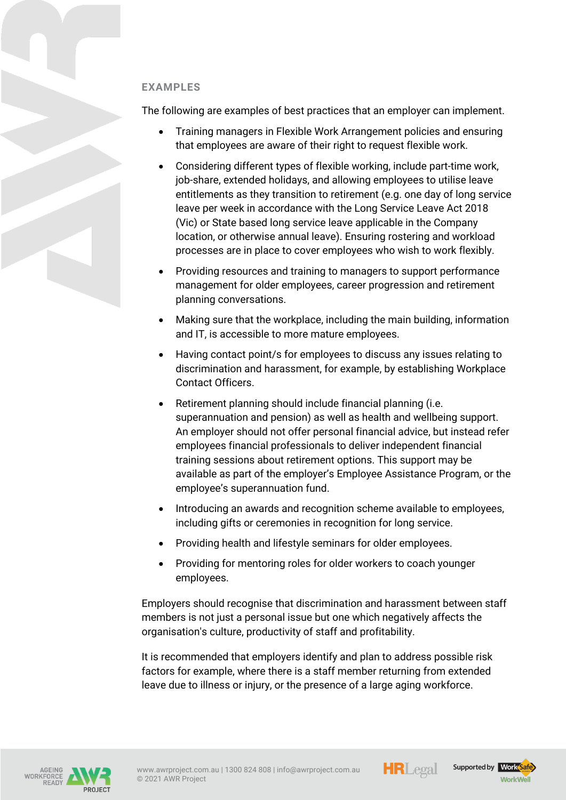#### **EXAMPLES**

The following are examples of best practices that an employer can implement.

- Training managers in Flexible Work Arrangement policies and ensuring that employees are aware of their right to request flexible work.
- Considering different types of flexible working, include part-time work, job-share, extended holidays, and allowing employees to utilise leave entitlements as they transition to retirement (e.g. one day of long service leave per week in accordance with the Long Service Leave Act 2018 (Vic) or State based long service leave applicable in the Company location, or otherwise annual leave). Ensuring rostering and workload processes are in place to cover employees who wish to work flexibly.
- Providing resources and training to managers to support performance management for older employees, career progression and retirement planning conversations.
- Making sure that the workplace, including the main building, information and IT, is accessible to more mature employees.
- Having contact point/s for employees to discuss any issues relating to discrimination and harassment, for example, by establishing Workplace Contact Officers.
- Retirement planning should include financial planning (i.e. superannuation and pension) as well as health and wellbeing support. An employer should not offer personal financial advice, but instead refer employees financial professionals to deliver independent financial training sessions about retirement options. This support may be available as part of the employer's Employee Assistance Program, or the employee's superannuation fund.
- Introducing an awards and recognition scheme available to employees, including gifts or ceremonies in recognition for long service.
- Providing health and lifestyle seminars for older employees.
- Providing for mentoring roles for older workers to coach younger employees.

Employers should recognise that discrimination and harassment between staff members is not just a personal issue but one which negatively affects the organisation's culture, productivity of staff and profitability.

It is recommended that employers identify and plan to address possible risk factors for example, where there is a staff member returning from extended leave due to illness or injury, or the presence of a large aging workforce.







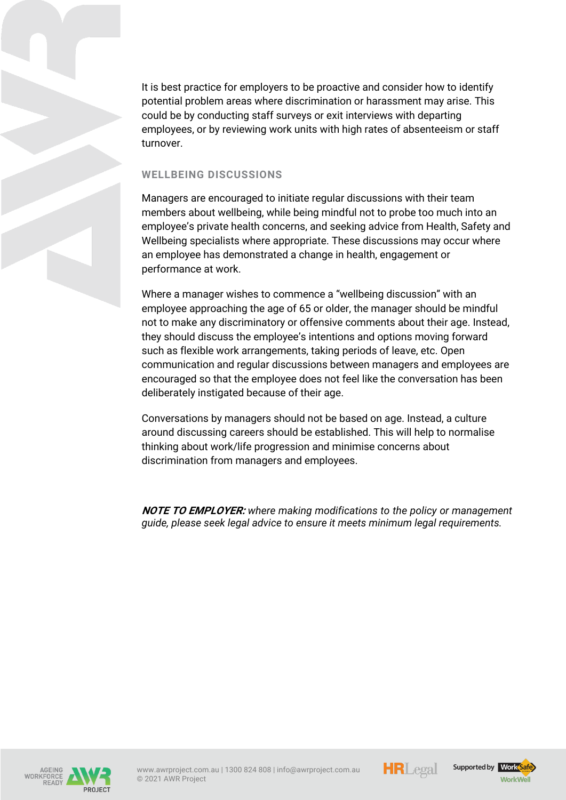It is best practice for employers to be proactive and consider how to identify potential problem areas where discrimination or harassment may arise. This could be by conducting staff surveys or exit interviews with departing employees, or by reviewing work units with high rates of absenteeism or staff turnover.

#### WELL BEING DISCUSSIONS

Managers are encouraged to initiate regular discussions with their team members about wellbeing, while being mindful not to probe too much into an employee's private health concerns, and seeking advice from Health, Safety and Wellbeing specialists where appropriate. These discussions may occur where an employee has demonstrated a change in health, engagement or performance at work.

Where a manager wishes to commence a "wellbeing discussion" with an employee approaching the age of 65 or older, the manager should be mindful not to make any discriminatory or offensive comments about their age. Instead, they should discuss the employee's intentions and options moving forward such as flexible work arrangements, taking periods of leave, etc. Open communication and regular discussions between managers and employees are encouraged so that the employee does not feel like the conversation has been deliberately instigated because of their age.

Conversations by managers should not be based on age. Instead, a culture around discussing careers should be established. This will help to normalise thinking about work/life progression and minimise concerns about discrimination from managers and employees.

**NOTE TO EMPLOYER:** *where making modifications to the policy or management guide, please seek legal advice to ensure it meets minimum legal requirements.*